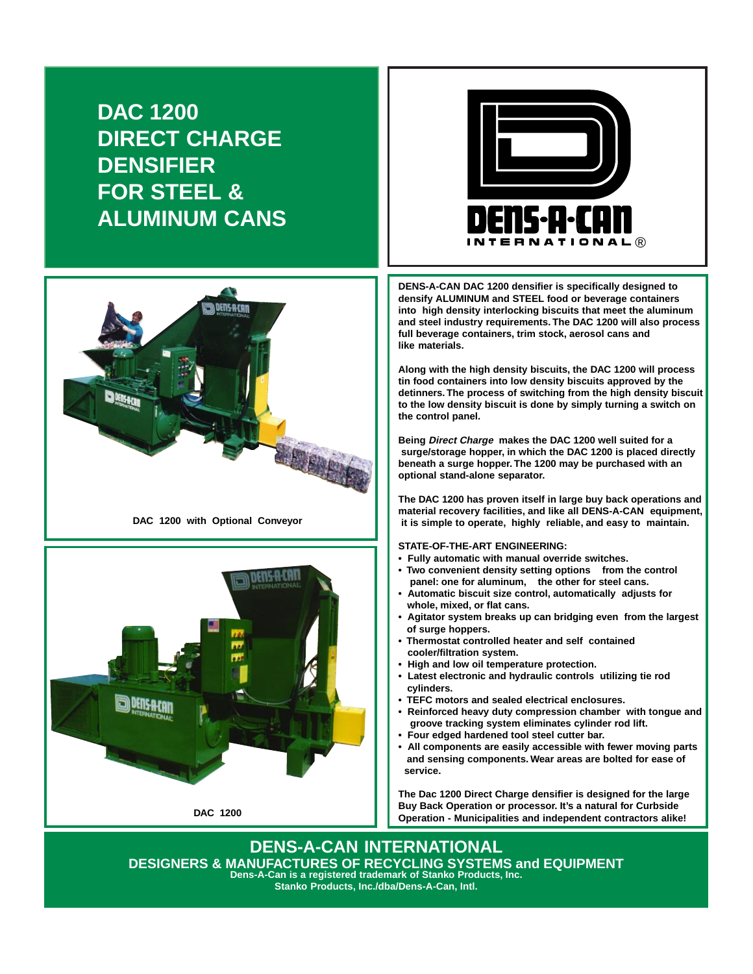**DAC 1200 DIRECT CHARGE DENSIFIER FOR STEEL & ALUMINUM CANS**



**DAC 1200 with Optional Conveyor**





**DENS-A-CAN DAC 1200 densifier is specifically designed to densify ALUMINUM and STEEL food or beverage containers into high density interlocking biscuits that meet the aluminum and steel industry requirements. The DAC 1200 will also process full beverage containers, trim stock, aerosol cans and like materials.**

**Along with the high density biscuits, the DAC 1200 will process tin food containers into low density biscuits approved by the detinners. The process of switching from the high density biscuit to the low density biscuit is done by simply turning a switch on the control panel.**

**Being Direct Charge makes the DAC 1200 well suited for a surge/storage hopper, in which the DAC 1200 is placed directly beneath a surge hopper. The 1200 may be purchased with an optional stand-alone separator.**

**The DAC 1200 has proven itself in large buy back operations and material recovery facilities, and like all DENS-A-CAN equipment, it is simple to operate, highly reliable, and easy to maintain.**

**STATE-OF-THE-ART ENGINEERING:**

- **Fully automatic with manual override switches.**
- **Two convenient density setting options from the control panel: one for aluminum, the other for steel cans.**
- **Automatic biscuit size control, automatically adjusts for whole, mixed, or flat cans.**
- **Agitator system breaks up can bridging even from the largest of surge hoppers.**
- **Thermostat controlled heater and self contained cooler/filtration system.**
- **High and low oil temperature protection.**
- **Latest electronic and hydraulic controls utilizing tie rod cylinders.**
- **TEFC motors and sealed electrical enclosures.**
- **Reinforced heavy duty compression chamber with tongue and groove tracking system eliminates cylinder rod lift.**
- **Four edged hardened tool steel cutter bar.**
- **All components are easily accessible with fewer moving parts and sensing components. Wear areas are bolted for ease of service.**

**The Dac 1200 Direct Charge densifier is designed for the large Buy Back Operation or processor. It's a natural for Curbside Operation - Municipalities and independent contractors alike!**

**DENS-A-CAN INTERNATIONAL DESIGNERS & MANUFACTURES OF RECYCLING SYSTEMS and EQUIPMENT Dens-A-Can is a registered trademark of Stanko Products, Inc. Stanko Products, Inc./dba/Dens-A-Can, Intl.**